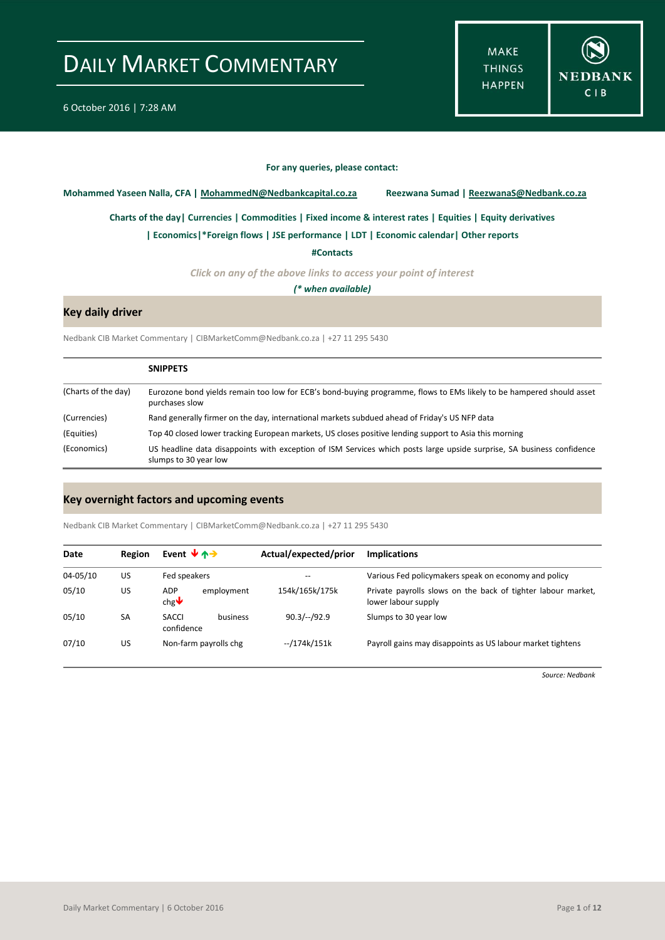**MAKE THINGS HAPPEN** 



#### **For any queries, please contact:**

<span id="page-0-0"></span>**Mohammed Yaseen Nalla, CFA | MohammedN@Nedbankcapital.co.za Reezwana Sumad | ReezwanaS@Nedbank.co.za**

**[Charts of the day|](#page-1-0) [Currencies](#page-3-0) [| Commodities](#page-4-0) | [Fixed income & interest rates](#page-5-0) [| Equities](#page-6-0) | Equity derivatives**

**[| Economics|](#page-7-0)\*Foreign flows | [JSE performance](#page-8-0) [| LDT](#page-9-0) [| Economic calendar|](#page-9-1) Other reports** 

**[#Contacts](#page-10-0)**

*Click on any of the above links to access your point of interest*

*(\* when available)*

#### **Key daily driver**

Nedbank CIB Market Commentary | CIBMarketComm@Nedbank.co.za | +27 11 295 5430

|                     | <b>SNIPPETS</b>                                                                                                                                |
|---------------------|------------------------------------------------------------------------------------------------------------------------------------------------|
| (Charts of the day) | Eurozone bond yields remain too low for ECB's bond-buying programme, flows to EMs likely to be hampered should asset<br>purchases slow         |
| (Currencies)        | Rand generally firmer on the day, international markets subdued ahead of Friday's US NFP data                                                  |
| (Equities)          | Top 40 closed lower tracking European markets, US closes positive lending support to Asia this morning                                         |
| (Economics)         | US headline data disappoints with exception of ISM Services which posts large upside surprise, SA business confidence<br>slumps to 30 year low |

#### **Key overnight factors and upcoming events**

Nedbank CIB Market Commentary | CIBMarketComm@Nedbank.co.za | +27 11 295 5430

| Date         | <b>Region</b> | Event $\forall$ $\land \rightarrow$            | Actual/expected/prior | <b>Implications</b>                                                                 |
|--------------|---------------|------------------------------------------------|-----------------------|-------------------------------------------------------------------------------------|
| $04 - 05/10$ | US            | Fed speakers                                   | --                    | Various Fed policymakers speak on economy and policy                                |
| 05/10        | US            | ADP<br>employment<br>chg $\blacktriangleright$ | 154k/165k/175k        | Private payrolls slows on the back of tighter labour market,<br>lower labour supply |
| 05/10        | SA            | SACCI<br>business<br>confidence                | $90.3/-/92.9$         | Slumps to 30 year low                                                               |
| 07/10        | US            | Non-farm payrolls chg                          | --/174k/151k          | Payroll gains may disappoints as US labour market tightens                          |

*Source: Nedbank*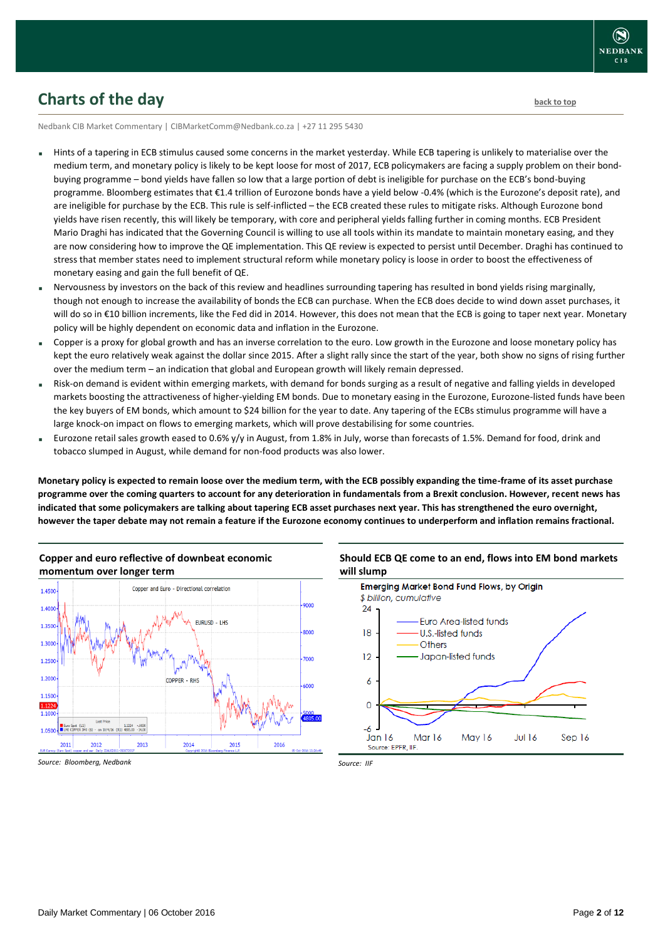

### <span id="page-1-0"></span>**Charts of the day** [back to top](#page-0-0) back to top

Nedbank CIB Market Commentary | CIBMarketComm@Nedbank.co.za | +27 11 295 5430

- Hints of a tapering in ECB stimulus caused some concerns in the market yesterday. While ECB tapering is unlikely to materialise over the medium term, and monetary policy is likely to be kept loose for most of 2017, ECB policymakers are facing a supply problem on their bondbuying programme – bond yields have fallen so low that a large portion of debt is ineligible for purchase on the ECB's bond-buying programme. Bloomberg estimates that €1.4 trillion of Eurozone bonds have a yield below -0.4% (which is the Eurozone's deposit rate), and are ineligible for purchase by the ECB. This rule is self-inflicted – the ECB created these rules to mitigate risks. Although Eurozone bond yields have risen recently, this will likely be temporary, with core and peripheral yields falling further in coming months. ECB President Mario Draghi has indicated that the Governing Council is willing to use all tools within its mandate to maintain monetary easing, and they are now considering how to improve the QE implementation. This QE review is expected to persist until December. Draghi has continued to stress that member states need to implement structural reform while monetary policy is loose in order to boost the effectiveness of monetary easing and gain the full benefit of QE.
- Nervousness by investors on the back of this review and headlines surrounding tapering has resulted in bond yields rising marginally, though not enough to increase the availability of bonds the ECB can purchase. When the ECB does decide to wind down asset purchases, it will do so in €10 billion increments, like the Fed did in 2014. However, this does not mean that the ECB is going to taper next year. Monetary policy will be highly dependent on economic data and inflation in the Eurozone.
- Copper is a proxy for global growth and has an inverse correlation to the euro. Low growth in the Eurozone and loose monetary policy has kept the euro relatively weak against the dollar since 2015. After a slight rally since the start of the year, both show no signs of rising further over the medium term – an indication that global and European growth will likely remain depressed.
- Risk-on demand is evident within emerging markets, with demand for bonds surging as a result of negative and falling yields in developed markets boosting the attractiveness of higher-yielding EM bonds. Due to monetary easing in the Eurozone, Eurozone-listed funds have been the key buyers of EM bonds, which amount to \$24 billion for the year to date. Any tapering of the ECBs stimulus programme will have a large knock-on impact on flows to emerging markets, which will prove destabilising for some countries.
- Eurozone retail sales growth eased to 0.6% y/y in August, from 1.8% in July, worse than forecasts of 1.5%. Demand for food, drink and tobacco slumped in August, while demand for non-food products was also lower.

**Monetary policy is expected to remain loose over the medium term, with the ECB possibly expanding the time-frame of its asset purchase programme over the coming quarters to account for any deterioration in fundamentals from a Brexit conclusion. However, recent news has indicated that some policymakers are talking about tapering ECB asset purchases next year. This has strengthened the euro overnight, however the taper debate may not remain a feature if the Eurozone economy continues to underperform and inflation remains fractional.**



# **Copper and euro reflective of downbeat economic**

#### **Should ECB QE come to an end, flows into EM bond markets will slump Emerging Market Bond Fund Flows, by Origin**



*Source: Bloomberg, Nedbank*

*Source: IIF*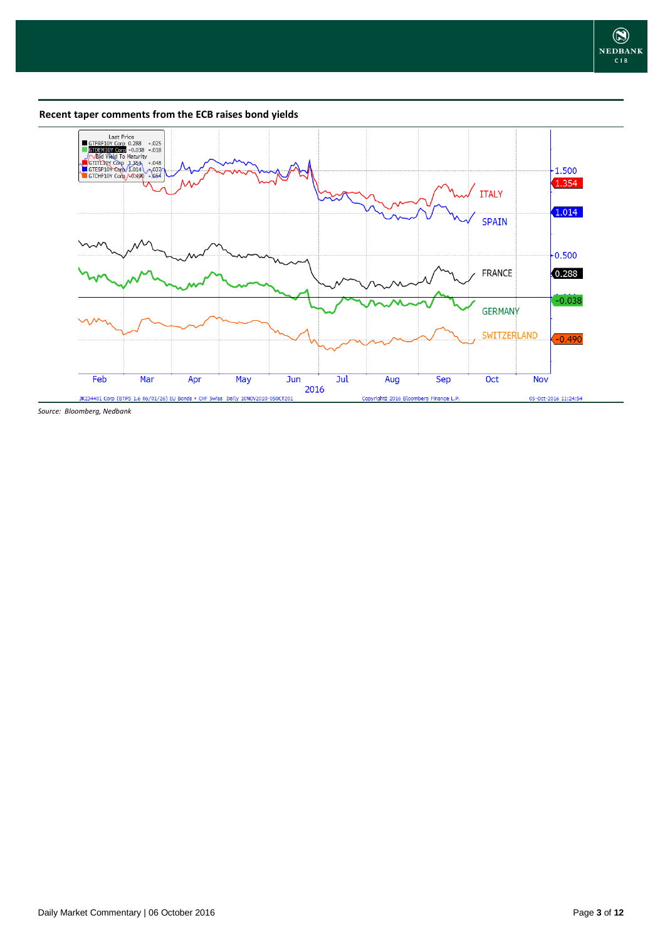**Recent taper comments from the ECB raises bond yields**



*Source: Bloomberg, Nedbank*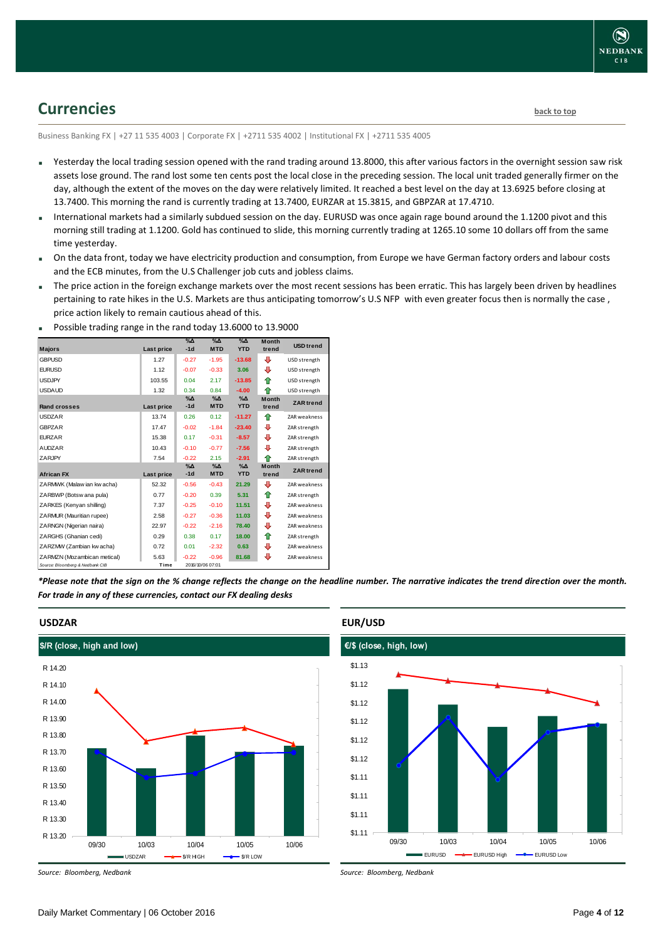### <span id="page-3-0"></span>**Currencies [back to top](#page-0-0)**

Business Banking FX | +27 11 535 4003 | Corporate FX | +2711 535 4002 | Institutional FX | +2711 535 4005

- Yesterday the local trading session opened with the rand trading around 13.8000, this after various factors in the overnight session saw risk assets lose ground. The rand lost some ten cents post the local close in the preceding session. The local unit traded generally firmer on the day, although the extent of the moves on the day were relatively limited. It reached a best level on the day at 13.6925 before closing at 13.7400. This morning the rand is currently trading at 13.7400, EURZAR at 15.3815, and GBPZAR at 17.4710.
- International markets had a similarly subdued session on the day. EURUSD was once again rage bound around the 1.1200 pivot and this morning still trading at 1.1200. Gold has continued to slide, this morning currently trading at 1265.10 some 10 dollars off from the same time yesterday.
- On the data front, today we have electricity production and consumption, from Europe we have German factory orders and labour costs and the ECB minutes, from the U.S Challenger job cuts and jobless claims.
- The price action in the foreign exchange markets over the most recent sessions has been erratic. This has largely been driven by headlines pertaining to rate hikes in the U.S. Markets are thus anticipating tomorrow's U.S NFP with even greater focus then is normally the case, price action likely to remain cautious ahead of this.

| <b>Majors</b>                   | <b>Last price</b> | $\%$ $\Delta$<br>$-1d$ | $\%$ $\Delta$<br><b>MTD</b> | $\%$ $\Delta$<br><b>YTD</b> | <b>Month</b><br>trend | <b>USD</b> trend |
|---------------------------------|-------------------|------------------------|-----------------------------|-----------------------------|-----------------------|------------------|
|                                 |                   |                        |                             |                             |                       |                  |
| <b>GBPUSD</b>                   | 1.27              | $-0.27$                | $-1.95$                     | $-13.68$                    | ⊕                     | USD strength     |
| <b>EURUSD</b>                   | 1.12              | $-0.07$                | $-0.33$                     | 3.06                        | ⊕                     | USD strength     |
| <b>USDJPY</b>                   | 103.55            | 0.04                   | 2.17                        | $-13.85$                    | ⇑                     | USD strength     |
| <b>USDAUD</b>                   | 1.32              | 0.34                   | 0.84                        | $-4.00$                     | ♠                     | USD strength     |
|                                 |                   | $\%$ $\Delta$          | $\%$ $\Delta$               | $\%$ $\Delta$               | <b>Month</b>          | <b>ZAR</b> trend |
| <b>Rand crosses</b>             | Last price        | $-1d$                  | <b>MTD</b>                  | <b>YTD</b>                  | trend                 |                  |
| <b>USDZAR</b>                   | 13.74             | 0.26                   | 0.12                        | $-11.27$                    | ⇑                     | ZAR weakness     |
| <b>GBPZAR</b>                   | 17.47             | $-0.02$                | $-1.84$                     | $-23.40$                    | ⊕                     | ZAR strength     |
| <b>EURZAR</b>                   | 15.38             | 0.17                   | $-0.31$                     | $-8.57$                     | ⊕                     | ZAR strength     |
| <b>AUDZAR</b>                   | 10.43             | $-0.10$                | $-0.77$                     | $-7.56$                     | ⊕                     | ZAR strength     |
| <b>ZARJPY</b>                   | 7.54              | $-0.22$                | 2.15                        | $-2.91$                     | ⇑                     | ZAR strength     |
|                                 |                   | $\%$ $\Delta$          | $\%$ $\Delta$               | $\%$ $\Delta$               | <b>Month</b>          | <b>ZAR</b> trend |
| <b>African FX</b>               | Last price        | $-1d$                  | <b>MTD</b>                  | <b>YTD</b>                  | trend                 |                  |
| ZARMWK (Malaw ian kw acha)      | 52.32             | $-0.56$                | $-0.43$                     | 21.29                       | ⊕                     | ZAR weakness     |
| ZARBWP (Botsw ana pula)         | 0.77              | $-0.20$                | 0.39                        | 5.31                        | ⇑                     | ZAR strength     |
| ZARKES (Kenyan shilling)        | 7.37              | $-0.25$                | $-0.10$                     | 11.51                       | ⊕                     | ZAR weakness     |
| ZARMUR (Mauritian rupee)        | 2.58              | $-0.27$                | $-0.36$                     | 11.03                       | ⊕                     | ZAR weakness     |
| ZARNGN (Nigerian naira)         | 22.97             | $-0.22$                | $-2.16$                     | 78.40                       | ⊕                     | ZAR weakness     |
| ZARGHS (Ghanian cedi)           | 0.29              | 0.38                   | 0.17                        | 18.00                       | ⇑                     | ZAR strength     |
| ZARZMW (Zambian kw acha)        | 0.72              | 0.01                   | $-2.32$                     | 0.63                        | ⊕                     | ZAR weakness     |
| ZARMZN (Mozambican metical)     | 5.63              | $-0.22$                | $-0.96$                     | 81.68                       | ⊕                     | ZAR weakness     |
| Source: Bloomberg & Nedbank CIB | Time              |                        | 2016/10/06 07:01            |                             |                       |                  |

Possible trading range in the rand today 13.6000 to 13.9000

*\*Please note that the sign on the % change reflects the change on the headline number. The narrative indicates the trend direction over the month. For trade in any of these currencies, contact our FX dealing desks*



**USDZAR**

*Source: Bloomberg, Nedbank*

#### **EUR/USD**



*Source: Bloomberg, Nedbank*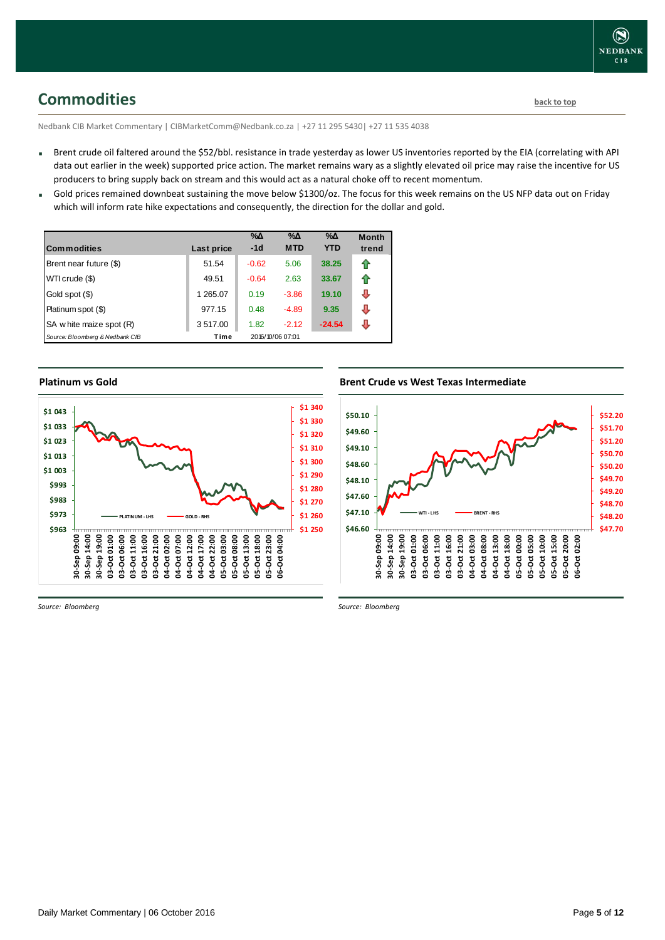<span id="page-4-0"></span>**Commodities [back to top](#page-0-0)** 

Nedbank CIB Market Commentary | CIBMarketComm@Nedbank.co.za | +27 11 295 5430| +27 11 535 4038

- Brent crude oil faltered around the \$52/bbl. resistance in trade yesterday as lower US inventories reported by the EIA (correlating with API data out earlier in the week) supported price action. The market remains wary as a slightly elevated oil price may raise the incentive for US producers to bring supply back on stream and this would act as a natural choke off to recent momentum.
- Gold prices remained downbeat sustaining the move below \$1300/oz. The focus for this week remains on the US NFP data out on Friday which will inform rate hike expectations and consequently, the direction for the dollar and gold.

| Commodities                     | Last price | $\%$ $\Delta$<br>$-1d$ | $\% \Delta$<br><b>MTD</b> | %Δ<br><b>YTD</b> | <b>Month</b><br>trend |
|---------------------------------|------------|------------------------|---------------------------|------------------|-----------------------|
| Brent near future (\$)          | 51.54      | $-0.62$                | 5.06                      | 38.25            | ⇑                     |
| WTI crude (\$)                  | 49.51      | $-0.64$                | 2.63                      | 33.67            | ⇑                     |
| Gold spot (\$)                  | 1 265.07   | 0.19                   | $-3.86$                   | 19.10            | ⇩                     |
| Platinum spot (\$)              | 977.15     | 0.48                   | $-4.89$                   | 9.35             | ⇩                     |
| SA w hite maize spot (R)        | 3517.00    | 1.82                   | $-2.12$                   | $-24.54$         | л                     |
| Source: Bloomberg & Nedbank CIB | Time       |                        | 2016/10/06 07:01          |                  |                       |

#### **Platinum vs Gold**



**Brent Crude vs West Texas Intermediate**



*Source: Bloomberg*

*Source: Bloomberg*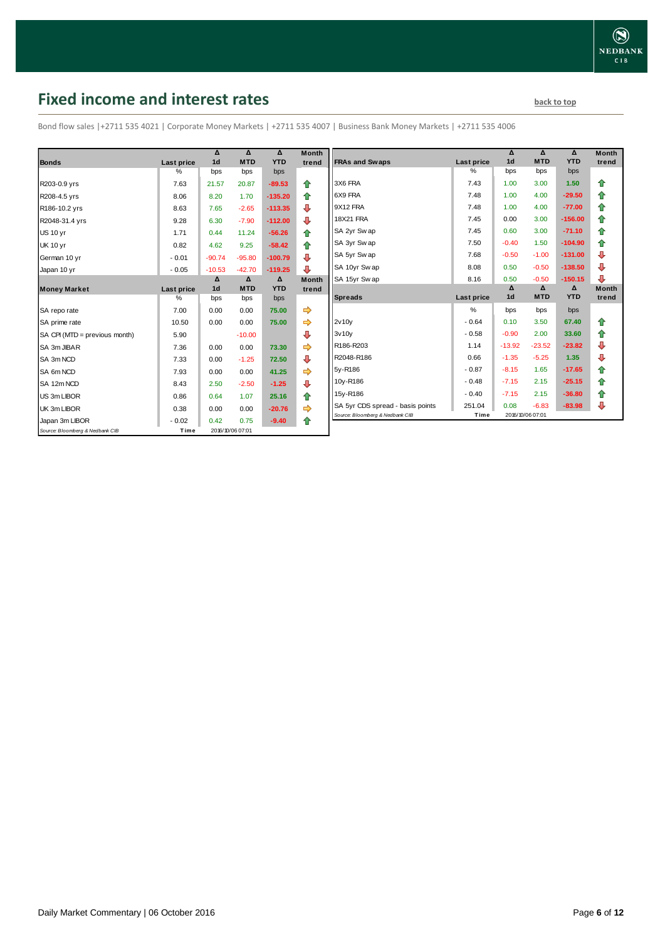## <span id="page-5-0"></span>**Fixed income and interest rates back to the line of the set of the set of the set of the set of the set of the set of the set of the set of the set of the set of the set of the set of the set of the set of the set of th**

Bond flow sales |+2711 535 4021 | Corporate Money Markets | +2711 535 4007 | Business Bank Money Markets | +2711 535 4006

|                                 |                 | Δ<br>1 <sub>d</sub> | Δ<br><b>MTD</b>  | Δ<br><b>YTD</b> | <b>Month</b> |
|---------------------------------|-----------------|---------------------|------------------|-----------------|--------------|
| <b>Bonds</b>                    | Last price<br>% |                     |                  |                 | trend        |
|                                 |                 | bps                 | bps              | bps             |              |
| R203-0.9 yrs                    | 7.63            | 21.57               | 20.87            | $-89.53$        | ⇑            |
| R208-4.5 yrs                    | 8.06            | 8.20                | 1.70             | $-135.20$       | 合            |
| R186-10.2 yrs                   | 8.63            | 7.65                | $-2.65$          | $-113.35$       | ₽            |
| R2048-31.4 yrs                  | 9.28            | 6.30                | $-7.90$          | $-112.00$       | ⇩            |
| <b>US 10 yr</b>                 | 1.71            | 0.44                | 11.24            | $-56.26$        | ⇮            |
| <b>UK 10 yr</b>                 | 0.82            | 4.62                | 9.25             | $-58.42$        | ⇑            |
| German 10 yr                    | $-0.01$         | $-90.74$            | $-95.80$         | $-100.79$       | ⊕            |
| Japan 10 yr                     | $-0.05$         | $-10.53$            | $-42.70$         | $-119.25$       | ⊕            |
|                                 |                 | Δ                   | Δ                | Δ               | <b>Month</b> |
| <b>Money Market</b>             | Last price      | 1 <sub>d</sub>      | <b>MTD</b>       | <b>YTD</b>      | trend        |
|                                 | ℅               | bps                 | bps              | bps             |              |
| SA repo rate                    | 7.00            | 0.00                | 0.00             | 75.00           |              |
| SA prime rate                   | 10.50           | 0.00                | 0.00             | 75.00           | ⇨            |
| SA CPI (MTD = previous month)   | 5.90            |                     | $-10.00$         |                 | ⇩            |
| SA 3m JIBAR                     | 7.36            | 0.00                | 0.00             | 73.30           |              |
| SA 3m NCD                       | 7.33            | 0.00                | $-1.25$          | 72.50           | ⊕            |
| SA 6m NCD                       | 7.93            | 0.00                | 0.00             | 41.25           |              |
| SA 12m NCD                      | 8.43            | 2.50                | $-2.50$          | $-1.25$         | ⊕            |
| US 3m LIBOR                     | 0.86            | 0.64                | 1.07             | 25.16           | ↟            |
| UK 3m LIBOR                     | 0.38            | 0.00                | 0.00             | $-20.76$        | ⇨            |
| Japan 3m LIBOR                  | $-0.02$         | 0.42                | 0.75             | $-9.40$         | ⇑            |
| Source: Bloomberg & Nedbank CIB | Time            |                     | 2016/10/06 07:01 |                 |              |

| Month<br>trend | <b>FRAs and Swaps</b>            | Last price    | Δ<br>1 <sub>d</sub> | Δ<br><b>MTD</b> | Δ<br><b>YTD</b> | <b>Month</b><br>trend |
|----------------|----------------------------------|---------------|---------------------|-----------------|-----------------|-----------------------|
|                |                                  | $\%$          | bps                 | bps             | bps             |                       |
| ⇮              | 3X6 FRA                          | 7.43          | 1.00                | 3.00            | 1.50            | ⇑                     |
| ✿              | 6X9 FRA                          | 7.48          | 1.00                | 4.00            | $-29.50$        | ⇮                     |
| ⊕              | 9X12 FRA                         | 7.48          | 1.00                | 4.00            | $-77.00$        | 合                     |
| ⊕              | 18X21 FRA                        | 7.45          | 0.00                | 3.00            | $-156.00$       | 合                     |
| 合              | SA 2yr Sw ap                     | 7.45          | 0.60                | 3.00            | $-71.10$        | 合                     |
| ⇑              | SA 3yr Swap                      | 7.50          | $-0.40$             | 1.50            | $-104.90$       | 合                     |
| ⊕              | SA 5yr Swap                      | 7.68          | $-0.50$             | $-1.00$         | $-131.00$       | ⊕                     |
| ⊕              | SA 10yr Swap                     | 8.08          | 0.50                | $-0.50$         | $-138.50$       | ⊕                     |
| Month          | SA 15yr Swap                     | 8.16          | 0.50                | $-0.50$         | $-150.15$       | ⊕                     |
|                |                                  |               |                     |                 |                 |                       |
| trend          |                                  |               | Δ                   | Δ               | Δ               | <b>Month</b>          |
|                | <b>Spreads</b>                   | Last price    | 1 <sub>d</sub>      | <b>MTD</b>      | <b>YTD</b>      | trend                 |
|                |                                  | $\frac{9}{6}$ | bps                 | bps             | bps             |                       |
| ⇛<br>⇛         | 2v10v                            | $-0.64$       | 0.10                | 3.50            | 67.40           | ⇑                     |
| ⊕              | 3v10v                            | $-0.58$       | $-0.90$             | 2.00            | 33.60           | ⇑                     |
| ⇛              | R186-R203                        | 1.14          | $-13.92$            | $-23.52$        | $-23.82$        | ⊕                     |
| ⊕              | R2048-R186                       | 0.66          | $-1.35$             | $-5.25$         | 1.35            | ⊕                     |
| ⇛              | 5y-R186                          | $-0.87$       | $-8.15$             | 1.65            | $-17.65$        | ⇮                     |
|                | 10y-R186                         | $-0.48$       | $-7.15$             | 2.15            | $-25.15$        | 合                     |
| ⊕              | 15y-R186                         | $-0.40$       | $-7.15$             | 2.15            | $-36.80$        | 合                     |
| ⇑<br>          | SA 5yr CDS spread - basis points | 251.04        | 0.08                | $-6.83$         | $-83.98$        | ⊕                     |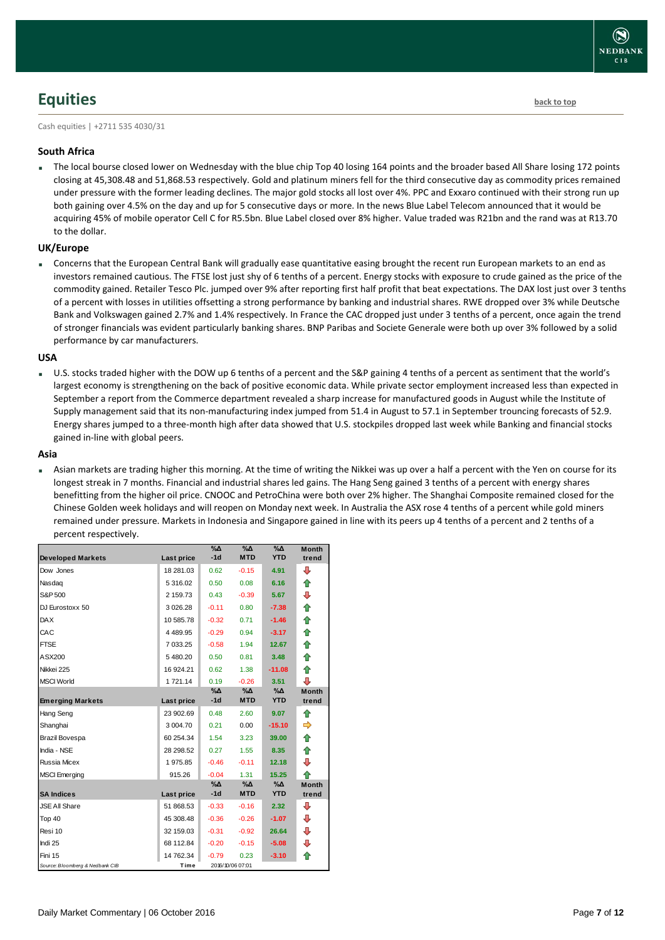## <span id="page-6-0"></span>**Equities [back to top](#page-0-0)**

Cash equities | +2711 535 4030/31

#### **South Africa**

 The local bourse closed lower on Wednesday with the blue chip Top 40 losing 164 points and the broader based All Share losing 172 points closing at 45,308.48 and 51,868.53 respectively. Gold and platinum miners fell for the third consecutive day as commodity prices remained under pressure with the former leading declines. The major gold stocks all lost over 4%. PPC and Exxaro continued with their strong run up both gaining over 4.5% on the day and up for 5 consecutive days or more. In the news Blue Label Telecom announced that it would be acquiring 45% of mobile operator Cell C for R5.5bn. Blue Label closed over 8% higher. Value traded was R21bn and the rand was at R13.70 to the dollar.

#### **UK/Europe**

 Concerns that the European Central Bank will gradually ease quantitative easing brought the recent run European markets to an end as investors remained cautious. The FTSE lost just shy of 6 tenths of a percent. Energy stocks with exposure to crude gained as the price of the commodity gained. Retailer Tesco Plc. jumped over 9% after reporting first half profit that beat expectations. The DAX lost just over 3 tenths of a percent with losses in utilities offsetting a strong performance by banking and industrial shares. RWE dropped over 3% while Deutsche Bank and Volkswagen gained 2.7% and 1.4% respectively. In France the CAC dropped just under 3 tenths of a percent, once again the trend of stronger financials was evident particularly banking shares. BNP Paribas and Societe Generale were both up over 3% followed by a solid performance by car manufacturers.

#### **USA**

 U.S. stocks traded higher with the DOW up 6 tenths of a percent and the S&P gaining 4 tenths of a percent as sentiment that the world's largest economy is strengthening on the back of positive economic data. While private sector employment increased less than expected in September a report from the Commerce department revealed a sharp increase for manufactured goods in August while the Institute of Supply management said that its non-manufacturing index jumped from 51.4 in August to 57.1 in September trouncing forecasts of 52.9. Energy shares jumped to a three-month high after data showed that U.S. stockpiles dropped last week while Banking and financial stocks gained in-line with global peers.

#### **Asia**

 Asian markets are trading higher this morning. At the time of writing the Nikkei was up over a half a percent with the Yen on course for its longest streak in 7 months. Financial and industrial shares led gains. The Hang Seng gained 3 tenths of a percent with energy shares benefitting from the higher oil price. CNOOC and PetroChina were both over 2% higher. The Shanghai Composite remained closed for the Chinese Golden week holidays and will reopen on Monday next week. In Australia the ASX rose 4 tenths of a percent while gold miners remained under pressure. Markets in Indonesia and Singapore gained in line with its peers up 4 tenths of a percent and 2 tenths of a percent respectively.

|                                 |            | $\%$ $\Delta$<br>$-1d$ | $\%$ $\Delta$<br><b>MTD</b> | $\%$ $\Delta$<br><b>YTD</b> | <b>Month</b><br>trend |
|---------------------------------|------------|------------------------|-----------------------------|-----------------------------|-----------------------|
| <b>Developed Markets</b>        | Last price |                        |                             |                             |                       |
| Dow Jones                       | 18 281.03  | 0.62                   | $-0.15$                     | 4.91                        | ⊕                     |
| Nasdag                          | 5 316.02   | 0.50                   | 0.08                        | 6.16                        | ⇑                     |
| S&P 500                         | 2 159.73   | 0.43                   | $-0.39$                     | 5.67                        | ₽                     |
| DJ Eurostoxx 50                 | 3 0 26.28  | $-0.11$                | 0.80                        | $-7.38$                     | 合                     |
| <b>DAX</b>                      | 10 585.78  | $-0.32$                | 0.71                        | $-1.46$                     | ⇮                     |
| CAC                             | 4489.95    | $-0.29$                | 0.94                        | $-3.17$                     | 合                     |
| <b>FTSE</b>                     | 7 033.25   | $-0.58$                | 1.94                        | 12.67                       | ⇑                     |
| ASX200                          | 5480.20    | 0.50                   | 0.81                        | 3.48                        | 合                     |
| Nikkei 225                      | 16 924.21  | 0.62                   | 1.38                        | $-11.08$                    | 企                     |
| <b>MSCI World</b>               | 1721.14    | 0.19                   | $-0.26$                     | 3.51                        | ⊕                     |
|                                 |            | $\% \Delta$            | %Δ                          | %Δ                          | <b>Month</b>          |
| <b>Emerging Markets</b>         | Last price | $-1d$                  | <b>MTD</b>                  | <b>YTD</b>                  | trend                 |
| Hang Seng                       | 23 902.69  | 0.48                   | 2.60                        | 9.07                        | ⇑                     |
| Shanghai                        | 3 004.70   | 0.21                   | 0.00                        | $-15.10$                    |                       |
| Brazil Bovespa                  | 60 254.34  | 1.54                   | 3.23                        | 39.00                       | 合                     |
| India - NSE                     | 28 298.52  | 0.27                   | 1.55                        | 8.35                        | ⇮                     |
| Russia Micex                    | 1975.85    | $-0.46$                | $-0.11$                     | 12.18                       | ⊕                     |
| <b>MSCI</b> Emerging            | 915.26     | $-0.04$                | 1.31                        | 15.25                       | ♠                     |
|                                 |            | %Δ                     | %Δ                          | %Δ                          | <b>Month</b>          |
| <b>SA Indices</b>               | Last price | $-1d$                  | <b>MTD</b>                  | <b>YTD</b>                  | trend                 |
| <b>JSE All Share</b>            | 51 868.53  | $-0.33$                | $-0.16$                     | 2.32                        | ⊕                     |
| Top 40                          | 45 308.48  | $-0.36$                | $-0.26$                     | $-1.07$                     | ⇩                     |
| Resi 10                         | 32 159.03  | $-0.31$                | $-0.92$                     | 26.64                       | ⊕                     |
| Indi 25                         | 68 112.84  | $-0.20$                | $-0.15$                     | $-5.08$                     | ⊕                     |
| Fini 15                         | 14 762.34  | $-0.79$                | 0.23                        | $-3.10$                     | ⇑                     |
| Source: Bloomberg & Nedbank CIB | Time       |                        | 2016/10/06 07:01            |                             |                       |

**NEDBANK**  $CIB$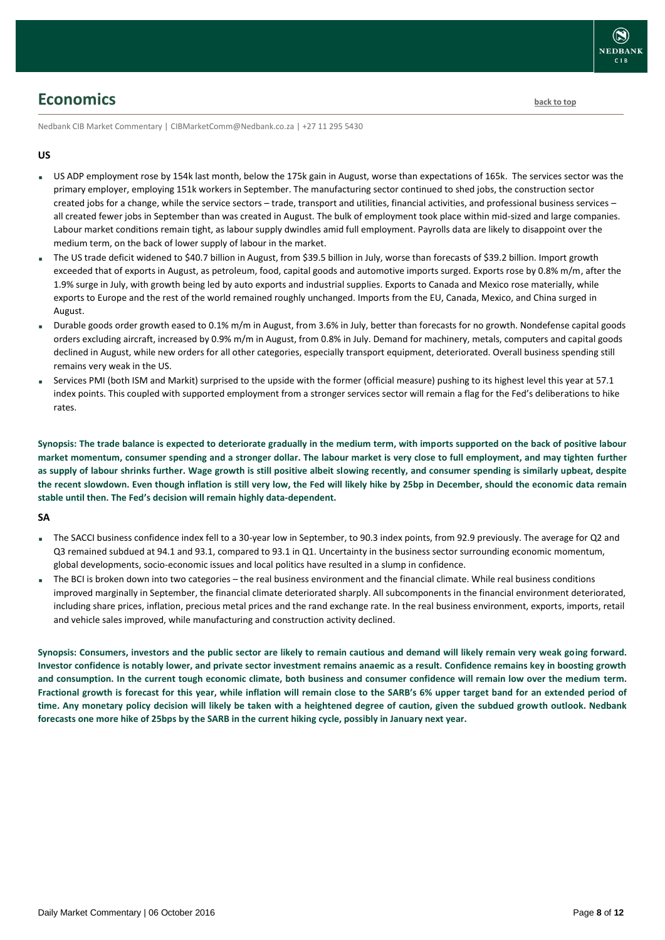

### <span id="page-7-0"></span>**Economics [back to top](#page-0-0)**

Nedbank CIB Market Commentary | CIBMarketComm@Nedbank.co.za | +27 11 295 5430

#### **US**

- US ADP employment rose by 154k last month, below the 175k gain in August, worse than expectations of 165k. The services sector was the primary employer, employing 151k workers in September. The manufacturing sector continued to shed jobs, the construction sector created jobs for a change, while the service sectors – trade, transport and utilities, financial activities, and professional business services – all created fewer jobs in September than was created in August. The bulk of employment took place within mid-sized and large companies. Labour market conditions remain tight, as labour supply dwindles amid full employment. Payrolls data are likely to disappoint over the medium term, on the back of lower supply of labour in the market.
- The US trade deficit widened to \$40.7 billion in August, from \$39.5 billion in July, worse than forecasts of \$39.2 billion. Import growth exceeded that of exports in August, as petroleum, food, capital goods and automotive imports surged. Exports rose by 0.8% m/m, after the 1.9% surge in July, with growth being led by auto exports and industrial supplies. Exports to Canada and Mexico rose materially, while exports to Europe and the rest of the world remained roughly unchanged. Imports from the EU, Canada, Mexico, and China surged in August.
- Durable goods order growth eased to 0.1% m/m in August, from 3.6% in July, better than forecasts for no growth. Nondefense capital goods orders excluding aircraft, increased by 0.9% m/m in August, from 0.8% in July. Demand for machinery, metals, computers and capital goods declined in August, while new orders for all other categories, especially transport equipment, deteriorated. Overall business spending still remains very weak in the US.
- Services PMI (both ISM and Markit) surprised to the upside with the former (official measure) pushing to its highest level this year at 57.1 index points. This coupled with supported employment from a stronger services sector will remain a flag for the Fed's deliberations to hike rates.

**Synopsis: The trade balance is expected to deteriorate gradually in the medium term, with imports supported on the back of positive labour market momentum, consumer spending and a stronger dollar. The labour market is very close to full employment, and may tighten further as supply of labour shrinks further. Wage growth is still positive albeit slowing recently, and consumer spending is similarly upbeat, despite the recent slowdown. Even though inflation is still very low, the Fed will likely hike by 25bp in December, should the economic data remain stable until then. The Fed's decision will remain highly data-dependent.** 

#### **SA**

- The SACCI business confidence index fell to a 30-year low in September, to 90.3 index points, from 92.9 previously. The average for Q2 and Q3 remained subdued at 94.1 and 93.1, compared to 93.1 in Q1. Uncertainty in the business sector surrounding economic momentum, global developments, socio-economic issues and local politics have resulted in a slump in confidence.
- The BCI is broken down into two categories the real business environment and the financial climate. While real business conditions improved marginally in September, the financial climate deteriorated sharply. All subcomponents in the financial environment deteriorated, including share prices, inflation, precious metal prices and the rand exchange rate. In the real business environment, exports, imports, retail and vehicle sales improved, while manufacturing and construction activity declined.

**Synopsis: Consumers, investors and the public sector are likely to remain cautious and demand will likely remain very weak going forward. Investor confidence is notably lower, and private sector investment remains anaemic as a result. Confidence remains key in boosting growth and consumption. In the current tough economic climate, both business and consumer confidence will remain low over the medium term. Fractional growth is forecast for this year, while inflation will remain close to the SARB's 6% upper target band for an extended period of time. Any monetary policy decision will likely be taken with a heightened degree of caution, given the subdued growth outlook. Nedbank forecasts one more hike of 25bps by the SARB in the current hiking cycle, possibly in January next year.**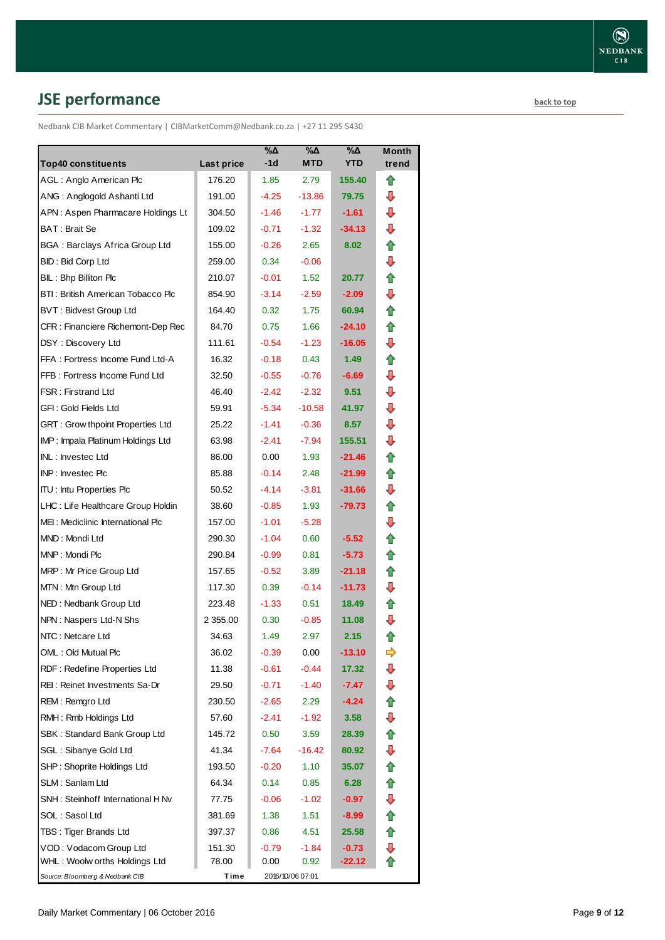# <span id="page-8-0"></span>**JSE performance [back to top](#page-0-0)**

Nedbank CIB Market Commentary | CIBMarketComm@Nedbank.co.za | +27 11 295 5430

| <b>Top40 constituents</b>             | <b>Last price</b> | %Δ<br>$-1d$ | %Δ<br><b>MTD</b>  | %Δ<br><b>YTD</b> | <b>Month</b><br>trend |
|---------------------------------------|-------------------|-------------|-------------------|------------------|-----------------------|
| AGL: Anglo American Plc               | 176.20            | 1.85        | 2.79              | 155.40           | ⇑                     |
| ANG: Anglogold Ashanti Ltd            | 191.00            | $-4.25$     | $-13.86$          | 79.75            | ⊕                     |
| APN: Aspen Pharmacare Holdings Lt     | 304.50            | $-1.46$     | $-1.77$           | $-1.61$          | ⇩                     |
| BAT: Brait Se                         | 109.02            | $-0.71$     | $-1.32$           | -34.13           | ⊕                     |
| <b>BGA: Barclays Africa Group Ltd</b> | 155.00            | $-0.26$     | 2.65              | 8.02             | ⇑                     |
| <b>BID: Bid Corp Ltd</b>              | 259.00            | 0.34        | $-0.06$           |                  | ⇩                     |
| BIL: Bhp Billiton Plc                 | 210.07            | $-0.01$     | 1.52              | 20.77            | 合                     |
| BTI: British American Tobacco Plc     | 854.90            | $-3.14$     | $-2.59$           | $-2.09$          | ⇩                     |
| <b>BVT: Bidvest Group Ltd</b>         | 164.40            | 0.32        | 1.75              | 60.94            | ✿                     |
| CFR : Financiere Richemont-Dep Rec    | 84.70             | 0.75        | 1.66              | $-24.10$         | 合                     |
| DSY: Discovery Ltd                    | 111.61            | $-0.54$     | $-1.23$           | $-16.05$         | ⊕                     |
| FFA: Fortress Income Fund Ltd-A       | 16.32             | $-0.18$     | 0.43              | 1.49             | ⇑                     |
| FFB: Fortress Income Fund Ltd         | 32.50             | $-0.55$     | $-0.76$           | $-6.69$          | ⇩                     |
| <b>FSR: Firstrand Ltd</b>             | 46.40             | $-2.42$     | $-2.32$           | 9.51             | ⇩                     |
| GFI: Gold Fields Ltd                  | 59.91             | $-5.34$     | $-10.58$          | 41.97            | ⇩                     |
| GRT : Grow thpoint Properties Ltd     | 25.22             | $-1.41$     | $-0.36$           | 8.57             | ⇩                     |
| IMP: Impala Platinum Holdings Ltd     | 63.98             | $-2.41$     | $-7.94$           | 155.51           | ⇩                     |
| INL: Investec Ltd                     | 86.00             | 0.00        | 1.93              | $-21.46$         | ⇑                     |
| INP: Investec Plc                     | 85.88             | $-0.14$     | 2.48              | $-21.99$         | ⇑                     |
| <b>ITU: Intu Properties Plc</b>       | 50.52             | $-4.14$     | $-3.81$           | $-31.66$         | ⇩                     |
| LHC: Life Healthcare Group Holdin     | 38.60             | $-0.85$     | 1.93              | $-79.73$         | ✿                     |
| MEI: Mediclinic International Plc     | 157.00            | $-1.01$     | $-5.28$           |                  | ⇩                     |
| MND: Mondi Ltd                        | 290.30            | $-1.04$     | 0.60              | $-5.52$          | ⇑                     |
| MNP: Mondi Plc                        | 290.84            | $-0.99$     | 0.81              | $-5.73$          | ⇑                     |
| MRP: Mr Price Group Ltd               | 157.65            | $-0.52$     | 3.89              | $-21.18$         | ⇑                     |
| MTN: Mtn Group Ltd                    | 117.30            | 0.39        | $-0.14$           | $-11.73$         | ⇩                     |
| NED: Nedbank Group Ltd                | 223.48            | $-1.33$     | 0.51              | 18.49            | ⇑                     |
| NPN: Naspers Ltd-N Shs                | 2 3 5 5 .0 0      | 0.30        | $-0.85$           | 11.08            | ⇩                     |
| NTC: Netcare Ltd                      | 34.63             | 1.49        | 2.97              | 2.15             | ⇑                     |
| OML: Old Mutual Plc                   | 36.02             | $-0.39$     | 0.00              | $-13.10$         | ➾                     |
| RDF: Redefine Properties Ltd          | 11.38             | $-0.61$     | -0.44             | 17.32            | ⇩                     |
| REI: Reinet Investments Sa-Dr         | 29.50             | $-0.71$     | $-1.40$           | $-7.47$          | ⊕                     |
| REM: Remgro Ltd                       | 230.50            | $-2.65$     | 2.29              | -4.24            | ⇑                     |
| RMH: Rmb Holdings Ltd                 | 57.60             | $-2.41$     | $-1.92$           | 3.58             | ⊕                     |
| SBK: Standard Bank Group Ltd          | 145.72            | 0.50        | 3.59              | 28.39            | ⇑                     |
| SGL : Sibanye Gold Ltd                | 41.34             | $-7.64$     | $-16.42$          | 80.92            | ⊕                     |
| SHP: Shoprite Holdings Ltd            | 193.50            | $-0.20$     | 1.10              | 35.07            | ⇮                     |
| SLM: Sanlam Ltd                       | 64.34             | 0.14        | 0.85              | 6.28             | ✿                     |
| SNH: Steinhoff International H Nv     | 77.75             | $-0.06$     | $-1.02$           | $-0.97$          | ⊕                     |
| SOL: Sasol Ltd                        | 381.69            | 1.38        | 1.51              | $-8.99$          | ✿                     |
| TBS: Tiger Brands Ltd                 | 397.37            | 0.86        | 4.51              | 25.58            | 合                     |
| VOD: Vodacom Group Ltd                | 151.30            | $-0.79$     | $-1.84$           | $-0.73$          | ⊕                     |
| WHL: Woolw orths Holdings Ltd         | 78.00             | 0.00        | 0.92 <sub>0</sub> | -22.12           |                       |
| Source: Bloomberg & Nedbank CIB       | Time              |             | 2016/10/06 07:01  |                  |                       |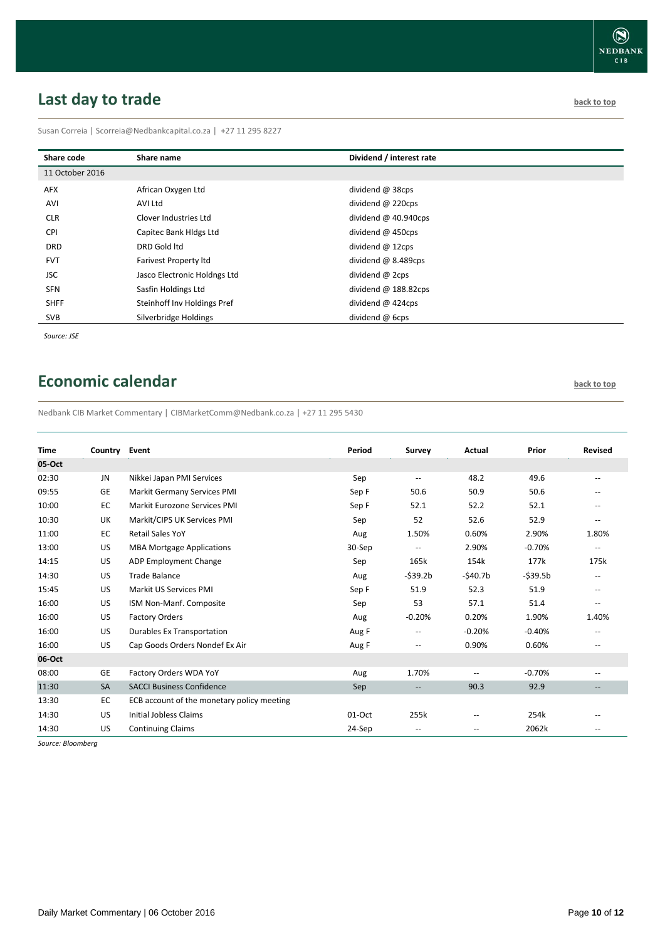## <span id="page-9-0"></span>**Last day to trade back to the contract of the contract of the contract of the contract of the contract of the contract of the contract of the contract of the contract of the contract of the contract of the contract of t**

Susan Correia | [Scorreia@Nedbankcapital.co.za](mailto:Scorreia@Nedbankcapital.co.za) | +27 11 295 8227

| Share code      | Share name                   | Dividend / interest rate |
|-----------------|------------------------------|--------------------------|
| 11 October 2016 |                              |                          |
| <b>AFX</b>      | African Oxygen Ltd           | dividend @ 38cps         |
| AVI             | AVI Ltd                      | dividend $@$ 220cps      |
| <b>CLR</b>      | Clover Industries Ltd        | dividend $@$ 40.940cps   |
| <b>CPI</b>      | Capitec Bank Hldgs Ltd       | dividend @ 450cps        |
| <b>DRD</b>      | DRD Gold ltd                 | dividend @ 12cps         |
| <b>FVT</b>      | <b>Farivest Property Itd</b> | dividend @ 8.489cps      |
| <b>JSC</b>      | Jasco Electronic Holdngs Ltd | dividend @ 2cps          |
| <b>SFN</b>      | Sasfin Holdings Ltd          | dividend $@$ 188.82cps   |
| <b>SHFF</b>     | Steinhoff Inv Holdings Pref  | dividend $@$ 424cps      |
| SVB             | Silverbridge Holdings        | dividend @ 6cps          |

*Source: JSE*

## <span id="page-9-1"></span>**Economic calendar [back to top](#page-0-0) back to top**

Nedbank CIB Market Commentary | CIBMarketComm@Nedbank.co.za | +27 11 295 5430

| <b>Time</b> | Country Event |                                            | Period | Survey                   | Actual            | Prior     | <b>Revised</b>                                      |
|-------------|---------------|--------------------------------------------|--------|--------------------------|-------------------|-----------|-----------------------------------------------------|
| 05-Oct      |               |                                            |        |                          |                   |           |                                                     |
| 02:30       | <b>JN</b>     | Nikkei Japan PMI Services                  | Sep    | --                       | 48.2              | 49.6      | $\overline{\phantom{a}}$                            |
| 09:55       | <b>GE</b>     | <b>Markit Germany Services PMI</b>         | Sep F  | 50.6                     | 50.9              | 50.6      |                                                     |
| 10:00       | EC            | Markit Eurozone Services PMI               | Sep F  | 52.1                     | 52.2              | 52.1      | $\hspace{0.05cm} -\hspace{0.05cm} -\hspace{0.05cm}$ |
| 10:30       | UK            | Markit/CIPS UK Services PMI                | Sep    | 52                       | 52.6              | 52.9      | $\overline{\phantom{a}}$                            |
| 11:00       | EC            | <b>Retail Sales YoY</b>                    | Aug    | 1.50%                    | 0.60%             | 2.90%     | 1.80%                                               |
| 13:00       | US            | <b>MBA Mortgage Applications</b>           | 30-Sep | $\overline{\phantom{m}}$ | 2.90%             | $-0.70%$  | $\hspace{0.05cm} -$                                 |
| 14:15       | US            | <b>ADP Employment Change</b>               | Sep    | 165k                     | 154k              | 177k      | 175k                                                |
| 14:30       | US            | <b>Trade Balance</b>                       | Aug    | $-$ \$39.2b              | $-$ \$40.7b       | $-539.5b$ | $\overline{\phantom{m}}$                            |
| 15:45       | US            | Markit US Services PMI                     | Sep F  | 51.9                     | 52.3              | 51.9      | $\hspace{0.05cm} -\hspace{0.05cm} -\hspace{0.05cm}$ |
| 16:00       | US            | ISM Non-Manf. Composite                    | Sep    | 53                       | 57.1              | 51.4      | $\hspace{0.05cm} -\hspace{0.05cm} -\hspace{0.05cm}$ |
| 16:00       | US            | <b>Factory Orders</b>                      | Aug    | $-0.20%$                 | 0.20%             | 1.90%     | 1.40%                                               |
| 16:00       | US            | Durables Ex Transportation                 | Aug F  | --                       | $-0.20%$          | $-0.40%$  |                                                     |
| 16:00       | US            | Cap Goods Orders Nondef Ex Air             | Aug F  | --                       | 0.90%             | 0.60%     | $\overline{\phantom{a}}$                            |
| 06-Oct      |               |                                            |        |                          |                   |           |                                                     |
| 08:00       | <b>GE</b>     | Factory Orders WDA YoY                     | Aug    | 1.70%                    | --                | $-0.70%$  | $\overline{\phantom{m}}$                            |
| 11:30       | SA            | <b>SACCI Business Confidence</b>           | Sep    | --                       | 90.3              | 92.9      |                                                     |
| 13:30       | EC            | ECB account of the monetary policy meeting |        |                          |                   |           |                                                     |
| 14:30       | US            | <b>Initial Jobless Claims</b>              | 01-Oct | 255k                     | $-$               | 254k      |                                                     |
| 14:30       | US            | <b>Continuing Claims</b>                   | 24-Sep | --                       | $\qquad \qquad -$ | 2062k     |                                                     |

*Source: Bloomberg*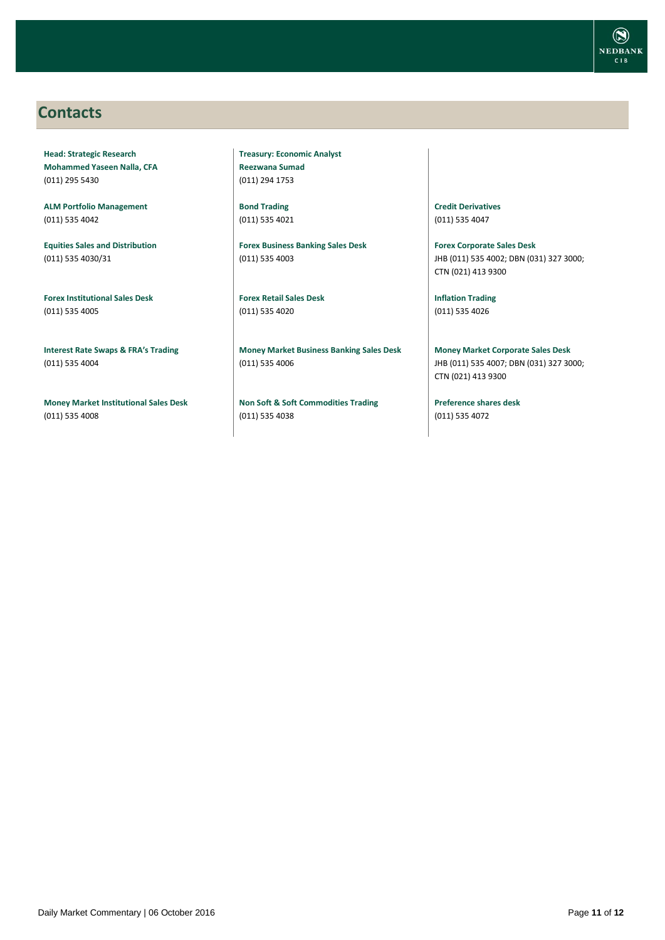

### <span id="page-10-0"></span>**Contacts**

**Head: Strategic Research Mohammed Yaseen Nalla, CFA** (011) 295 5430

**ALM Portfolio Management** (011) 535 4042

**Equities Sales and Distribution** (011) 535 4030/31

**Forex Institutional Sales Desk** (011) 535 4005

**Interest Rate Swaps & FRA's Trading** (011) 535 4004

**Money Market Institutional Sales Desk** (011) 535 4008

**Treasury: Economic Analyst Reezwana Sumad** (011) 294 1753

**Bond Trading** (011) 535 4021

**Forex Business Banking Sales Desk** (011) 535 4003

**Forex Retail Sales Desk** (011) 535 4020

**Money Market Business Banking Sales Desk** (011) 535 4006

**Non Soft & Soft Commodities Trading** (011) 535 4038

**Credit Derivatives**  (011) 535 4047

**Forex Corporate Sales Desk** JHB (011) 535 4002; DBN (031) 327 3000; CTN (021) 413 9300

**Inflation Trading** (011) 535 4026

**Money Market Corporate Sales Desk** JHB (011) 535 4007; DBN (031) 327 3000; CTN (021) 413 9300

**Preference shares desk** (011) 535 4072